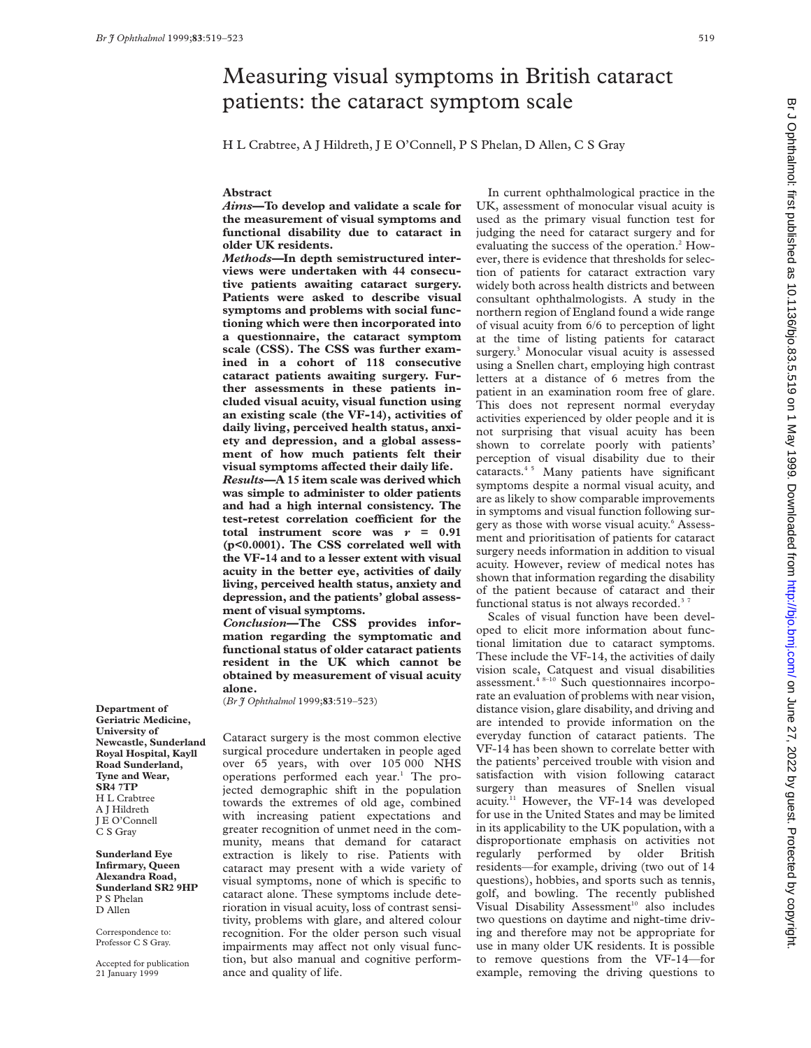# Measuring visual symptoms in British cataract patients: the cataract symptom scale

H L Crabtree, A J Hildreth, J E O'Connell, P S Phelan, D Allen, C S Gray

## **Abstract**

*Aims***—To develop and validate a scale for the measurement of visual symptoms and functional disability due to cataract in older UK residents.**

*Methods—***In depth semistructured interviews were undertaken with 44 consecutive patients awaiting cataract surgery. Patients were asked to describe visual symptoms and problems with social functioning which were then incorporated into a questionnaire, the cataract symptom scale (CSS). The CSS was further examined in a cohort of 118 consecutive cataract patients awaiting surgery. Further assessments in these patients included visual acuity, visual function using an existing scale (the VF-14), activities of daily living, perceived health status, anxiety and depression, and a global assessment of how much patients felt their** visual symptoms affected their daily life. *Results—***A 15 item scale was derived which**

**was simple to administer to older patients and had a high internal consistency. The test-retest correlation coefficient for the total instrument score was** *r* **= 0.91 (p<0.0001). The CSS correlated well with the VF-14 and to a lesser extent with visual acuity in the better eye, activities of daily living, perceived health status, anxiety and depression, and the patients' global assessment of visual symptoms.**

*Conclusion***—The CSS provides information regarding the symptomatic and functional status of older cataract patients resident in the UK which cannot be obtained by measurement of visual acuity alone.**

(*Br J Ophthalmol* 1999;**83**:519–523)

Cataract surgery is the most common elective surgical procedure undertaken in people aged over 65 years, with over 105 000 NHS operations performed each year.<sup>1</sup> The projected demographic shift in the population towards the extremes of old age, combined with increasing patient expectations and greater recognition of unmet need in the community, means that demand for cataract extraction is likely to rise. Patients with cataract may present with a wide variety of visual symptoms, none of which is specific to cataract alone. These symptoms include deterioration in visual acuity, loss of contrast sensitivity, problems with glare, and altered colour recognition. For the older person such visual impairments may affect not only visual function, but also manual and cognitive performance and quality of life.

In current ophthalmological practice in the UK, assessment of monocular visual acuity is used as the primary visual function test for judging the need for cataract surgery and for evaluating the success of the operation.<sup>2</sup> However, there is evidence that thresholds for selection of patients for cataract extraction vary widely both across health districts and between consultant ophthalmologists. A study in the northern region of England found a wide range of visual acuity from 6/6 to perception of light at the time of listing patients for cataract surgery.<sup>3</sup> Monocular visual acuity is assessed using a Snellen chart, employing high contrast letters at a distance of 6 metres from the patient in an examination room free of glare. This does not represent normal everyday activities experienced by older people and it is not surprising that visual acuity has been shown to correlate poorly with patients' perception of visual disability due to their cataracts.<sup>45</sup> Many patients have significant symptoms despite a normal visual acuity, and are as likely to show comparable improvements in symptoms and visual function following surgery as those with worse visual acuity.<sup>6</sup> Assessment and prioritisation of patients for cataract surgery needs information in addition to visual acuity. However, review of medical notes has shown that information regarding the disability of the patient because of cataract and their functional status is not always recorded.<sup>37</sup>

Scales of visual function have been developed to elicit more information about functional limitation due to cataract symptoms. These include the VF-14, the activities of daily vision scale, Catquest and visual disabilities assessment.<sup>4 8-10</sup> Such questionnaires incorporate an evaluation of problems with near vision, distance vision, glare disability, and driving and are intended to provide information on the everyday function of cataract patients. The VF-14 has been shown to correlate better with the patients' perceived trouble with vision and satisfaction with vision following cataract surgery than measures of Snellen visual acuity.<sup>11</sup> However, the VF-14 was developed for use in the United States and may be limited in its applicability to the UK population, with a disproportionate emphasis on activities not regularly performed by older British residents—for example, driving (two out of 14 questions), hobbies, and sports such as tennis, golf, and bowling. The recently published Visual Disability Assessment<sup>10</sup> also includes two questions on daytime and night-time driving and therefore may not be appropriate for use in many older UK residents. It is possible to remove questions from the VF-14—for example, removing the driving questions to

**Department of Geriatric Medicine, University of Newcastle, Sunderland Royal Hospital, Kayll Road Sunderland, Tyne and Wear, SR4 7TP** H L Crabtree A J Hildreth J E O'Connell C S Gray

**Sunderland Eye Infirmary, Queen Alexandra Road, Sunderland SR2 9HP** P S Phelan D Allen

Correspondence to: Professor C S Gray.

Accepted for publication 21 January 1999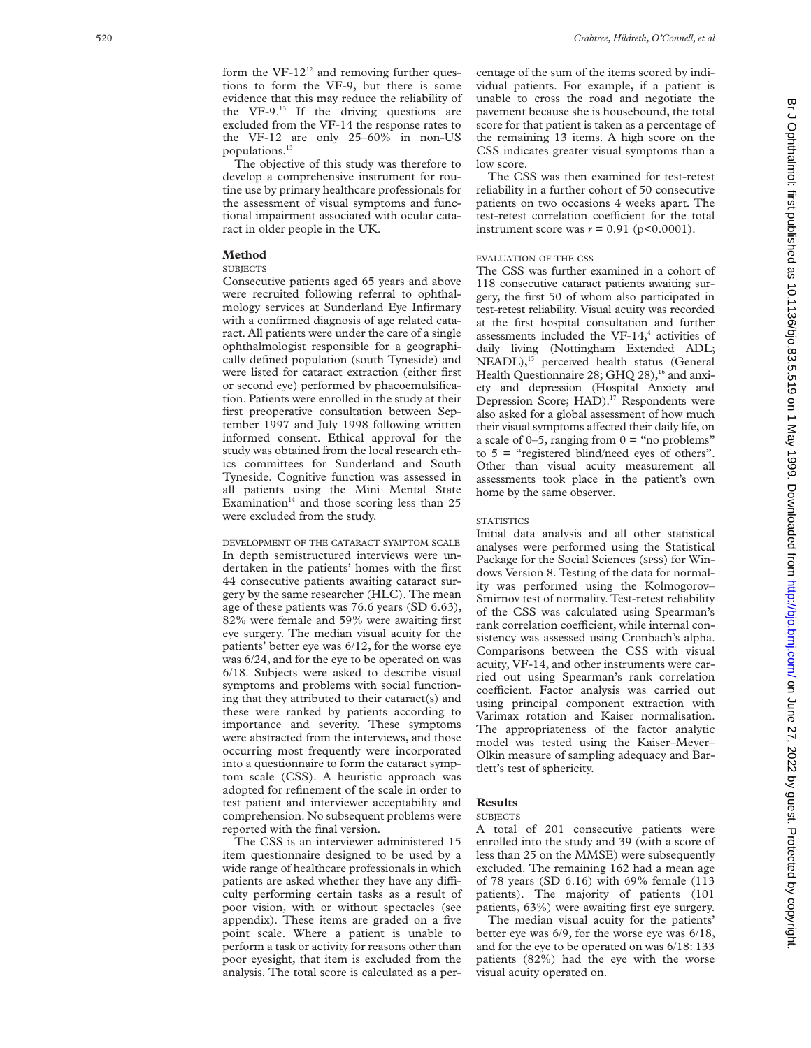form the  $VF-12^{12}$  and removing further questions to form the VF-9, but there is some evidence that this may reduce the reliability of the VF-9.<sup>13</sup> If the driving questions are excluded from the VF-14 the response rates to the VF-12 are only 25–60% in non-US populations.<sup>13</sup>

The objective of this study was therefore to develop a comprehensive instrument for routine use by primary healthcare professionals for the assessment of visual symptoms and functional impairment associated with ocular cataract in older people in the UK.

## **Method**

#### **SUBJECTS**

Consecutive patients aged 65 years and above were recruited following referral to ophthalmology services at Sunderland Eye Infirmary with a confirmed diagnosis of age related cataract. All patients were under the care of a single ophthalmologist responsible for a geographically defined population (south Tyneside) and were listed for cataract extraction (either first or second eye) performed by phacoemulsification. Patients were enrolled in the study at their first preoperative consultation between September 1997 and July 1998 following written informed consent. Ethical approval for the study was obtained from the local research ethics committees for Sunderland and South Tyneside. Cognitive function was assessed in all patients using the Mini Mental State Examination $14$  and those scoring less than 25 were excluded from the study.

DEVELOPMENT OF THE CATARACT SYMPTOM SCALE In depth semistructured interviews were undertaken in the patients' homes with the first 44 consecutive patients awaiting cataract surgery by the same researcher (HLC). The mean age of these patients was 76.6 years (SD 6.63), 82% were female and 59% were awaiting first eye surgery. The median visual acuity for the patients' better eye was 6/12, for the worse eye was 6/24, and for the eye to be operated on was 6/18. Subjects were asked to describe visual symptoms and problems with social functioning that they attributed to their cataract(s) and these were ranked by patients according to importance and severity. These symptoms were abstracted from the interviews, and those occurring most frequently were incorporated into a questionnaire to form the cataract symptom scale (CSS). A heuristic approach was adopted for refinement of the scale in order to test patient and interviewer acceptability and comprehension. No subsequent problems were reported with the final version.

The CSS is an interviewer administered 15 item questionnaire designed to be used by a wide range of healthcare professionals in which patients are asked whether they have any difficulty performing certain tasks as a result of poor vision, with or without spectacles (see appendix). These items are graded on a five point scale. Where a patient is unable to perform a task or activity for reasons other than poor eyesight, that item is excluded from the analysis. The total score is calculated as a percentage of the sum of the items scored by individual patients. For example, if a patient is unable to cross the road and negotiate the pavement because she is housebound, the total score for that patient is taken as a percentage of the remaining 13 items. A high score on the CSS indicates greater visual symptoms than a low score.

The CSS was then examined for test-retest reliability in a further cohort of 50 consecutive patients on two occasions 4 weeks apart *.* The test-retest correlation coefficient for the total instrument score was  $r = 0.91$  ( $p < 0.0001$ ).

# EVALUATION OF THE CSS

The CSS was further examined in a cohort of 118 consecutive cataract patients awaiting surgery, the first 50 of whom also participated in test-retest reliability. Visual acuity was recorded at the first hospital consultation and further assessments included the VF-14, <sup>4</sup> activities of daily living (Nottingham Extended ADL; NEADL),<sup>15</sup> perceived health status (General Health Questionnaire 28; GHQ 28),<sup>16</sup> and anxiety and depression (Hospital Anxiety and Depression Score; HAD).<sup>17</sup> Respondents were also asked for a global assessment of how much their visual symptoms affected their daily life, on a scale of  $0-5$ , ranging from  $0 =$  "no problems" to 5 = "registered blind/need eyes of others". Other than visual acuity measurement all assessments took place in the patient's own home by the same observer.

### **STATISTICS**

Initial data analysis and all other statistical analyses were performed using the Statistical Package for the Social Sciences (SPSS) for Windows Version 8. Testing of the data for normality was performed using the Kolmogorov– Smirnov test of normality. Test-retest reliability of the CSS was calculated using Spearman's rank correlation coefficient, while internal consistency was assessed using Cronbach's alpha. Comparisons between the CSS with visual acuity, VF-14, and other instruments were carried out using Spearman's rank correlation coefficient. Factor analysis was carried out using principal component extraction with Varimax rotation and Kaiser normalisation. The appropriateness of the factor analytic model was tested using the Kaiser–Meyer– Olkin measure of sampling adequacy and Bartlett's test of sphericity.

#### **Results**

#### **SUBJECTS**

A total of 201 consecutive patients were enrolled into the study and 39 (with a score of less than 25 on the MMSE) were subsequently excluded. The remaining 162 had a mean age of 78 years (SD 6.16) with 69% female (113 patients). The majority of patients (101 patients, 63%) were awaiting first eye surgery.

The median visual acuity for the patients' better eye was 6/9, for the worse eye was 6/18, and for the eye to be operated on was 6/18: 133 patients (82%) had the eye with the worse visual acuity operated on.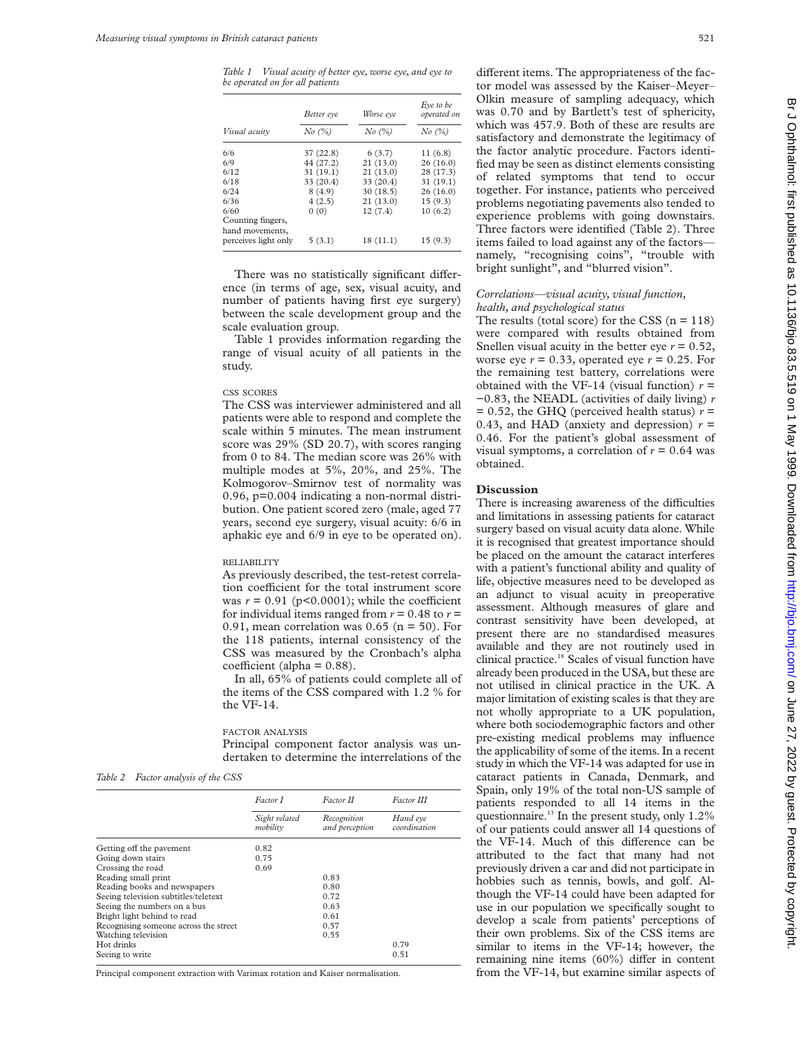*Table 1 Visual acuity of better eye, worse eye, and eye to be operated on for all patients*

|                      | Better eye | Worse eye | Eve to be<br>operated on<br>No (%) |  |
|----------------------|------------|-----------|------------------------------------|--|
| <i>Visual acuity</i> | No (%)     | No (%)    |                                    |  |
| 6/6                  | 37 (22.8)  | 6(3.7)    | 11(6.8)                            |  |
| 6/9                  | 44 (27.2)  | 21(13.0)  | 26(16.0)                           |  |
| 6/12                 | 31(19.1)   | 21(13.0)  | 28 (17.3)                          |  |
| 6/18                 | 33(20.4)   | 33(20.4)  | 31(19.1)                           |  |
| 6/24                 | 8(4.9)     | 30(18.5)  | 26(16.0)                           |  |
| 6/36                 | 4(2.5)     | 21(13.0)  | 15(9.3)                            |  |
| 6/60                 | (0)        | 12(7.4)   | 10(6.2)                            |  |
| Counting fingers,    |            |           |                                    |  |
| hand movements,      |            |           |                                    |  |
| perceives light only | 5(3.1)     | 18(11.1)  | 15(9.3)                            |  |

There was no statistically significant difference (in terms of age, sex, visual acuity, and number of patients having first eye surgery) between the scale development group and the scale evaluation group.

Table 1 provides information regarding the range of visual acuity of all patients in the study.

### CSS SCORES

The CSS was interviewer administered and all patients were able to respond and complete the scale within 5 minutes. The mean instrument score was 29% (SD 20.7), with scores ranging from 0 to 84. The median score was 26% with multiple modes at 5%, 20%, and 25%. The Kolmogorov–Smirnov test of normality was 0.96, p=0.004 indicating a non-normal distribution. One patient scored zero (male, aged 77 years, second eye surgery, visual acuity: 6/6 in aphakic eye and 6/9 in eye to be operated on).

#### RELIABILITY

As previously described, the test-retest correlation coefficient for the total instrument score was  $r = 0.91$  ( $p < 0.0001$ ); while the coefficient for individual items ranged from  $r = 0.48$  to  $r =$ 0.91, mean correlation was 0.65 ( $n = 50$ ). For the 118 patients, internal consistency of the CSS was measured by the Cronbach's alpha coefficient (alpha =  $0.88$ ).

In all, 65% of patients could complete all of the items of the CSS compared with 1.2 % for the VF-14.

#### FACTOR ANALYSIS

Principal component factor analysis was undertaken to determine the interrelations of the

#### *Table 2 Factor analysis of the CSS*

|                                       | Factor I                  | Factor II                     | Factor III               |  |
|---------------------------------------|---------------------------|-------------------------------|--------------------------|--|
|                                       | Sight related<br>mobility | Recognition<br>and perception | Hand eve<br>coordination |  |
| Getting off the pavement              | 0.82                      |                               |                          |  |
| Going down stairs                     | 0.75                      |                               |                          |  |
| Crossing the road                     | 0.69                      |                               |                          |  |
| Reading small print                   |                           | 0.83                          |                          |  |
| Reading books and newspapers          |                           | 0.80                          |                          |  |
| Seeing television subtitles/teletext  |                           | 0.72                          |                          |  |
| Seeing the numbers on a bus           |                           | 0.63                          |                          |  |
| Bright light behind to read           |                           | 0.61                          |                          |  |
| Recognising someone across the street |                           | 0.57                          |                          |  |
| Watching television                   |                           | 0.55                          |                          |  |
| Hot drinks                            |                           |                               | 0.79                     |  |
| Seeing to write                       |                           |                               | 0.51                     |  |

Principal component extraction with Varimax rotation and Kaiser normalisation.

different items. The appropriateness of the factor model was assessed by the Kaiser–Meyer– Olkin measure of sampling adequacy, which was 0.70 and by Bartlett's test of sphericity, which was 457.9. Both of these are results are satisfactory and demonstrate the legitimacy of the factor analytic procedure. Factors identified may be seen as distinct elements consisting of related symptoms that tend to occur together. For instance, patients who perceived problems negotiating pavements also tended to experience problems with going downstairs. Three factors were identified (Table 2). Three items failed to load against any of the factors namely, "recognising coins", "trouble with bright sunlight", and "blurred vision".

### *Correlations—visual acuity, visual function, health, and psychological status*

The results (total score) for the CSS  $(n = 118)$ were compared with results obtained from Snellen visual acuity in the better eye  $r = 0.52$ , worse eye  $r = 0.33$ , operated eye  $r = 0.25$ . For the remaining test battery, correlations were obtained with the VF-14 (visual function)  $r =$ −0.83, the NEADL (activities of daily living) *r*  $= 0.52$ , the GHQ (perceived health status)  $r =$ 0.43, and HAD (anxiety and depression)  $r =$ 0.46. For the patient's global assessment of visual symptoms, a correlation of  $r = 0.64$  was obtained.

## **Discussion**

There is increasing awareness of the difficulties and limitations in assessing patients for cataract surgery based on visual acuity data alone. While it is recognised that greatest importance should be placed on the amount the cataract interferes with a patient's functional ability and quality of life, objective measures need to be developed as an adjunct to visual acuity in preoperative assessment. Although measures of glare and contrast sensitivity have been developed, at present there are no standardised measures available and they are not routinely used in clinical practice.18 Scales of visual function have already been produced in the USA, but these are not utilised in clinical practice in the UK. A major limitation of existing scales is that they are not wholly appropriate to a UK population, where both sociodemographic factors and other pre-existing medical problems may influence the applicability of some of the items. In a recent study in which the VF-14 was adapted for use in cataract patients in Canada, Denmark, and Spain, only 19% of the total non-US sample of patients responded to all 14 items in the questionnaire.<sup>13</sup> In the present study, only 1.2% of our patients could answer all 14 questions of the VF-14. Much of this difference can be attributed to the fact that many had not previously driven a car and did not participate in hobbies such as tennis, bowls, and golf. Although the VF-14 could have been adapted for use in our population we specifically sought to develop a scale from patients' perceptions of their own problems. Six of the CSS items are similar to items in the VF-14; however, the remaining nine items  $(60\%)$  differ in content from the VF-14, but examine similar aspects of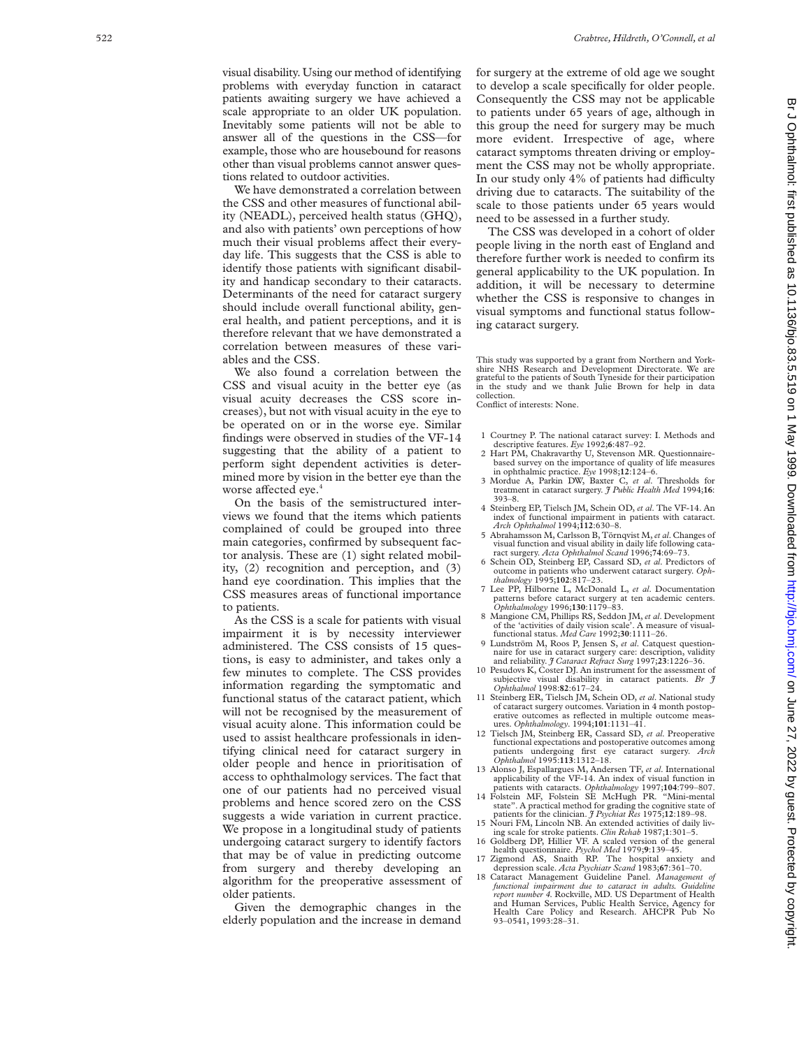visual disability. Using our method of identifying problems with everyday function in cataract patients awaiting surgery we have achieved a scale appropriate to an older UK population. Inevitably some patients will not be able to answer all of the questions in the CSS—for example, those who are housebound for reasons other than visual problems cannot answer questions related to outdoor activities.

We have demonstrated a correlation between the CSS and other measures of functional ability (NEADL), perceived health status (GHQ), and also with patients' own perceptions of how much their visual problems affect their everyday life. This suggests that the CSS is able to identify those patients with significant disability and handicap secondary to their cataracts. Determinants of the need for cataract surgery should include overall functional ability, general health, and patient perceptions, and it is therefore relevant that we have demonstrated a correlation between measures of these variables and the CSS.

We also found a correlation between the CSS and visual acuity in the better eye (as visual acuity decreases the CSS score increases), but not with visual acuity in the eye to be operated on or in the worse eye. Similar findings were observed in studies of the VF-14 suggesting that the ability of a patient to perform sight dependent activities is determined more by vision in the better eye than the worse affected eye.<sup>4</sup>

On the basis of the semistructured interviews we found that the items which patients complained of could be grouped into three main categories, confirmed by subsequent factor analysis. These are (1) sight related mobility, (2) recognition and perception, and (3) hand eye coordination. This implies that the CSS measures areas of functional importance to patients.

As the CSS is a scale for patients with visual impairment it is by necessity interviewer administered. The CSS consists of 15 questions, is easy to administer, and takes only a few minutes to complete. The CSS provides information regarding the symptomatic and functional status of the cataract patient, which will not be recognised by the measurement of visual acuity alone. This information could be used to assist healthcare professionals in identifying clinical need for cataract surgery in older people and hence in prioritisation of access to ophthalmology services. The fact that one of our patients had no perceived visual problems and hence scored zero on the CSS suggests a wide variation in current practice. We propose in a longitudinal study of patients undergoing cataract surgery to identify factors that may be of value in predicting outcome from surgery and thereby developing an algorithm for the preoperative assessment of older patients.

Given the demographic changes in the elderly population and the increase in demand for surgery at the extreme of old age we sought to develop a scale specifically for older people. Consequently the CSS may not be applicable to patients under 65 years of age, although in this group the need for surgery may be much more evident. Irrespective of age, where cataract symptoms threaten driving or employment the CSS may not be wholly appropriate. In our study only 4% of patients had difficulty driving due to cataracts. The suitability of the scale to those patients under 65 years would need to be assessed in a further study.

The CSS was developed in a cohort of older people living in the north east of England and therefore further work is needed to confirm its general applicability to the UK population. In addition, it will be necessary to determine whether the CSS is responsive to changes in visual symptoms and functional status following cataract surgery.

This study was supported by a grant from Northern and Yorkshire NHS Research and Development Directorate. We are grateful to the patients of South Tyneside for their participation in the study and we thank Julie Brown for help in data collection.

Conflict of interests: None.

- 1 Courtney P. The national cataract survey: I. Methods and descriptive features. *Eye* 1992; **6**:487–92.
- 2 Hart PM, Chakravarthy U, Stevenson MR. Questionnairebased survey on the importance of quality of life measures in ophthalmic practice. *Eye* 1998;**12**:124–6.
- 3 Mordue A, Parkin DW, Baxter C, *et al*. Thresholds for treatment in cataract surgery. *J Public Health Med* 1994;**16** : 393–8.
- 4 Steinberg EP, Tielsch JM, Schein OD, *et al*. The VF-14. An index of functional impairment in patients with cataract. *Arch Ophthalmol* 1994;**112**:630–8.
- 5 Abrahamsson M, Carlsson B, Törnqvist M,*et al*. Changes of visual function and visual ability in daily life following cataract surgery. *Acta Ophthalmol Scand* 1996;**74**:69–73.
- 6 Schein OD, Steinberg EP, Cassard SD, *et al*. Predictors of outcome in patients who underwent cataract surgery. *Ophthalmology* 1995;**102**:817–23.
- 7 Lee PP, Hilborne L, McDonald L, *et al*. Documentation patterns before cataract surgery at ten academic centers. *Ophthalmology* 1996;**130**:1179–83.
- 8 Mangione CM, Phillips RS, Seddon JM, *et al*. Development of the 'activities of daily vision scale'. A measure of visualfunctional status. *Med Care* 1992;**30**:1111–26.
- 9 Lundström M, Roos P, Jensen S, *et al*. Catquest questionnaire for use in cataract surgery care: description, validity<br>and reliability. *J Cataract Refract Surg* 1997;23:1226-36.
- 10 Pesudovs K, Coster DJ. An instrument for the assessment of subjective visual disability in cataract patients. *Br J Ophthalmol* 1998:**82**:617–24.
- 11 Steinberg ER, Tielsch JM, Schein OD, *et al*. National study of cataract surgery outcomes. Variation in 4 month postoperative outcomes as reflected in multiple outcome measures. *Ophthalmology*. 1994;**101**:1131–41.
- 12 Tielsch JM, Steinberg ER, Cassard SD, *et al*. Preoperative functional expectations and postoperative outcomes among patients undergoing first eye cataract surgery. *Arch Ophthalmol* 1995:**113**:1312–18.
- 13 Alonso J, Espallargues M, Andersen TF, *et al*. International applicability of the VF-14. An index of visual function in patients with cataracts. *Ophthalmology* 1997;**104**:799–807.
- 14 Folstein MF, Folstein SE McHugh PR. "Mini-mental state". A practical method for grading the cognitive state of patients for the clinician. *J Psychiat Res* 1975;**12**:189–98.
- 15 Nouri FM, Lincoln NB. An extended activities of daily living scale for stroke patients. *Clin Rehab* 1987;**1**:301–5. 16 Goldberg DP, Hillier VF. A scaled version of the general
- 
- health questionnaire. Psychol Med 1979;9:139-45.<br>17 Zigmond AS, Snaith RP. The hospital anxiety and<br>depression scale. Acta Psychiatr Scand 1983;67:361-70.<br>18 Cataract Management Guideline Panel. Management of
- *functional impairment due to cataract in adults. Guideline report number 4.* Rockville, MD. US Department of Health and Human Services, Public Health Service, Agency for Health Care Policy and Research. AHCPR Pub No 93–0541, 1993:28–31.